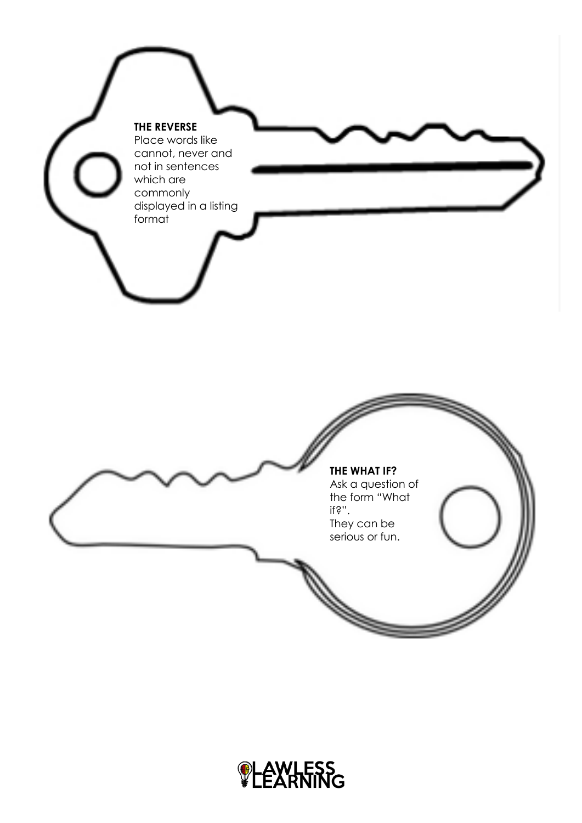

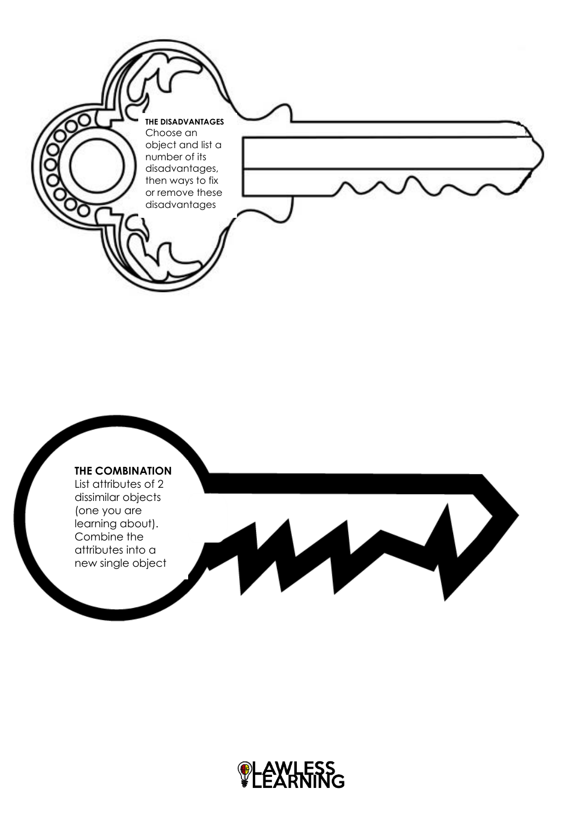



List attributes of 2 dissimilar objects (one you are learning about). Combine the attributes into a new single object



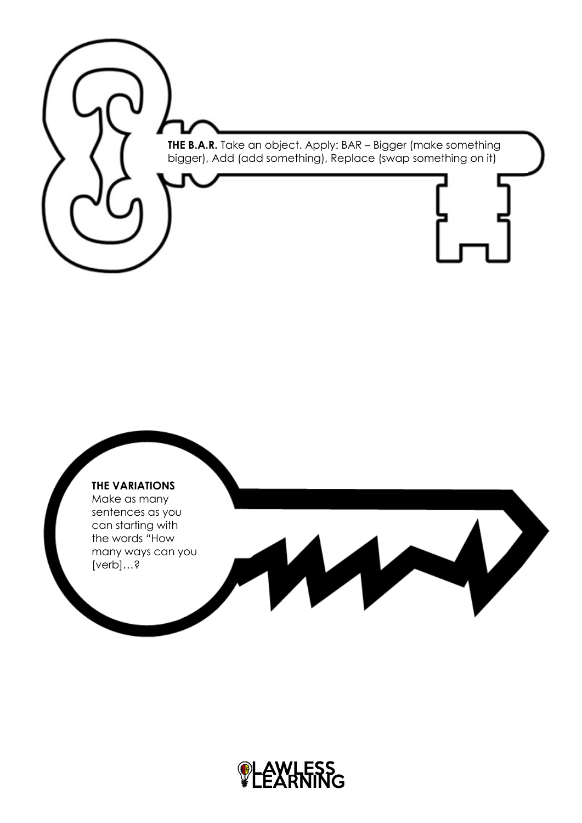



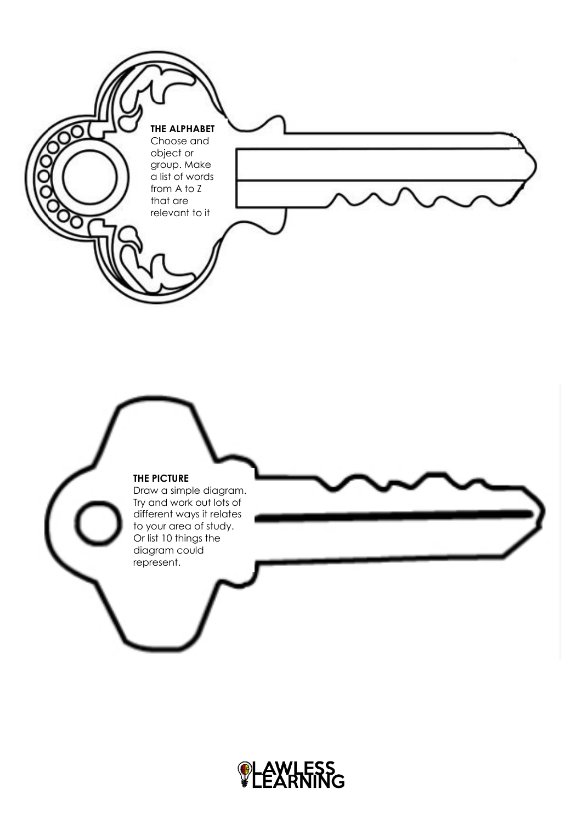

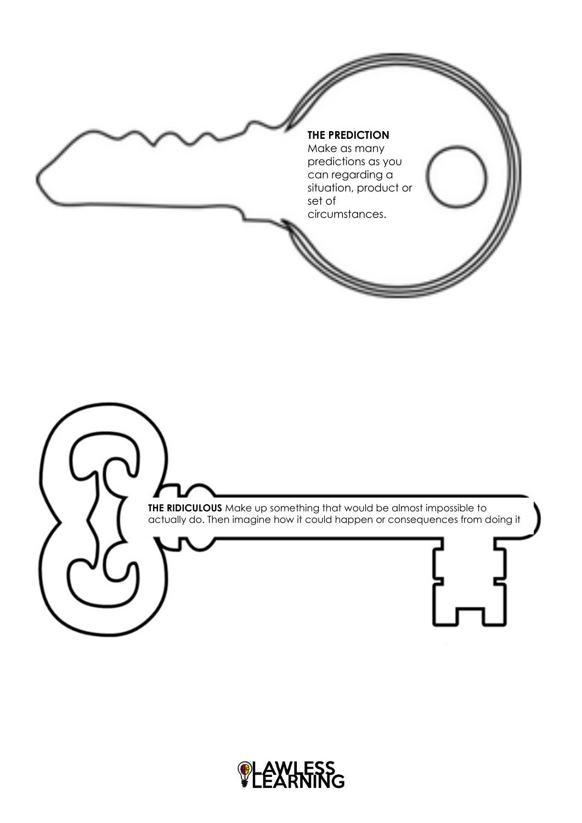

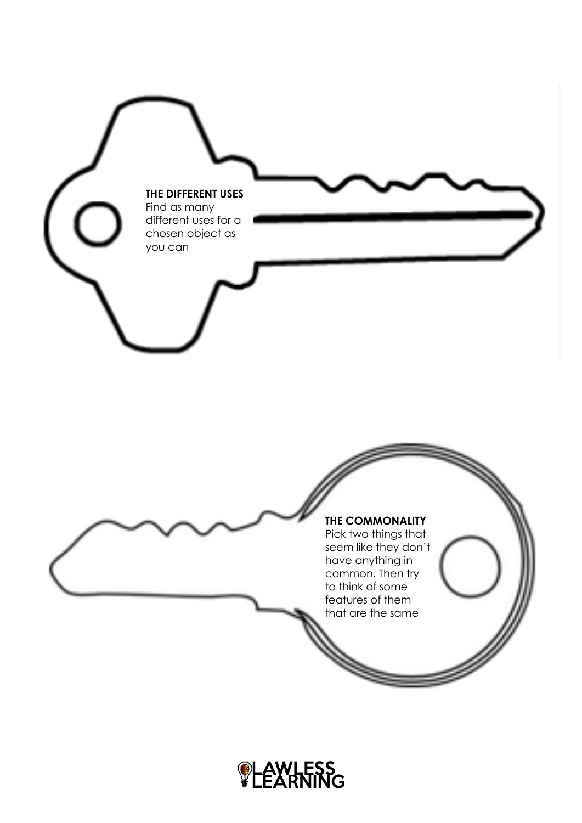

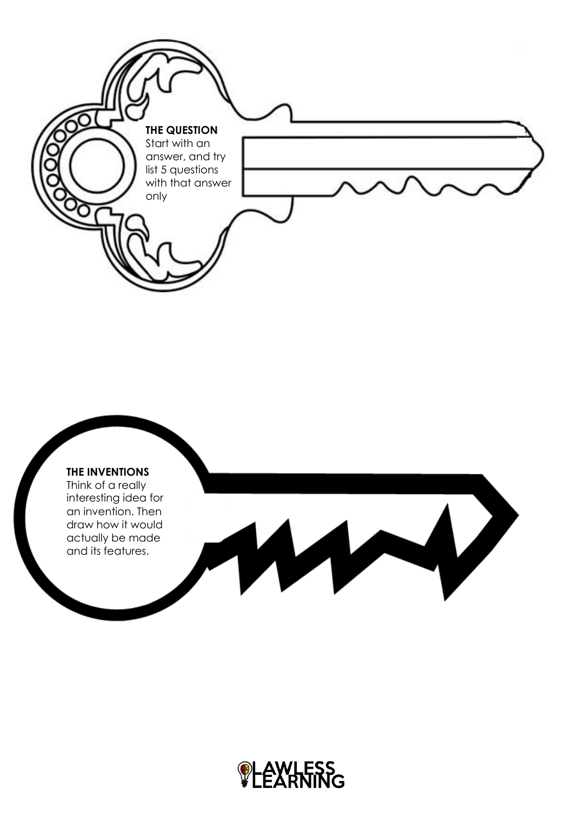



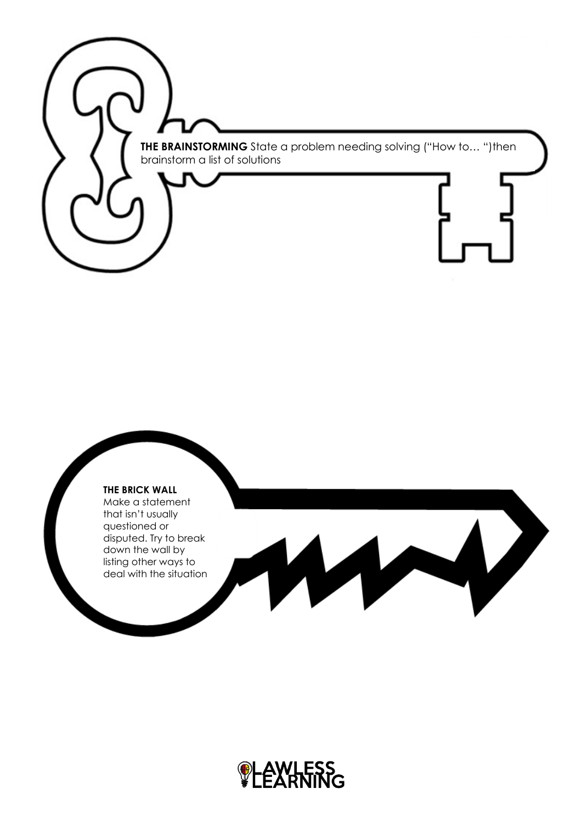**THE BRAINSTORMING** State a problem needing solving ("How to… ")then brainstorm a list of solutions

## **THE BRICK WALL**

Make a statement that isn't usually questioned or disputed. Try to break down the wall by listing other ways to deal with the situation

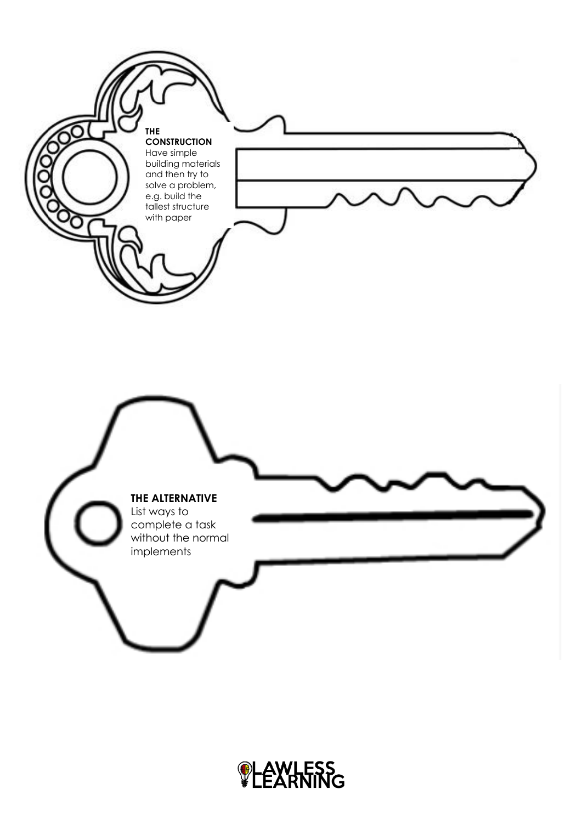